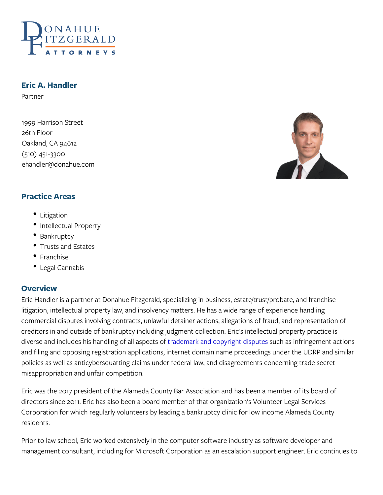# Eric A. Handler

Partner

1999 Harrison Street 26th Floor Oakland, CA 94612 (510) 451-3300 ehandler@donahue.com

## Practice Areas

- Litigation
- Intellectual Property
- Bankruptcy
- Trusts and Estates
- Franchise
- Legal Cannabis

#### Overview

Eric Handler is a partner at Donahue Fitzgerald, specializing in bus litigation, intellectual property law, and insolvency matters. He has commercial disputes involving contracts, unlawful detainer actions, creditors in and outside of bankruptcy including judgment collection. diverse and includes his handrobild neon and kanalned sopoencyt siungdifit dissiputiteins gement and filing and opposing registration applications, internet domain n policies as well as anticybersquatting claims under federal law, and  $\,$ misappropriation and unfair competition.

Eric was the 2017 president of the Alameda County Bar Association directors since 2011. Eric has also been a board member of that or Corporation for which regularly volunteers by leading a bankruptcy residents.

Prior to law school, Eric worked extensively in the computer softwa management consultant, including for Microsoft Corporation as an  $\epsilon$